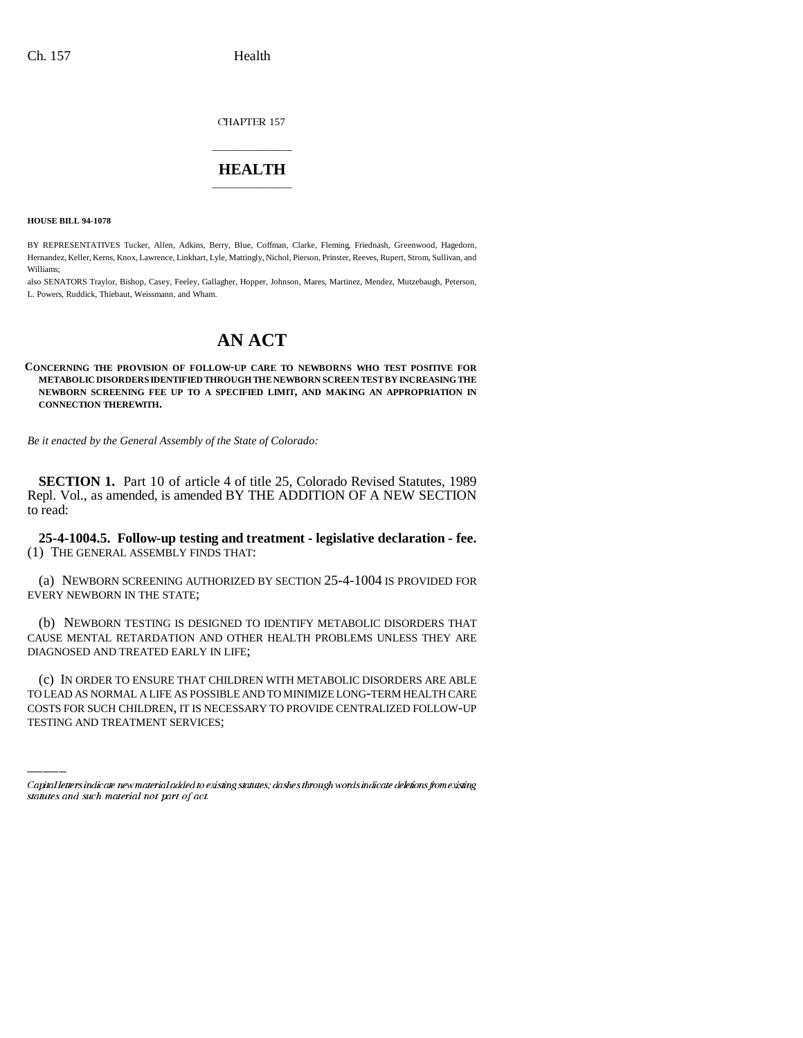CHAPTER 157

## \_\_\_\_\_\_\_\_\_\_\_\_\_\_\_ **HEALTH** \_\_\_\_\_\_\_\_\_\_\_\_\_\_\_

**HOUSE BILL 94-1078**

BY REPRESENTATIVES Tucker, Allen, Adkins, Berry, Blue, Coffman, Clarke, Fleming, Friednash, Greenwood, Hagedorn, Hernandez, Keller, Kerns, Knox, Lawrence, Linkhart, Lyle, Mattingly, Nichol, Pierson, Prinster, Reeves, Rupert, Strom, Sullivan, and Williams;

also SENATORS Traylor, Bishop, Casey, Feeley, Gallagher, Hopper, Johnson, Mares, Martinez, Mendez, Mutzebaugh, Peterson, L. Powers, Ruddick, Thiebaut, Weissmann, and Wham.

## **AN ACT**

**CONCERNING THE PROVISION OF FOLLOW-UP CARE TO NEWBORNS WHO TEST POSITIVE FOR METABOLIC DISORDERS IDENTIFIED THROUGH THE NEWBORN SCREEN TEST BY INCREASING THE NEWBORN SCREENING FEE UP TO A SPECIFIED LIMIT, AND MAKING AN APPROPRIATION IN CONNECTION THEREWITH.**

*Be it enacted by the General Assembly of the State of Colorado:*

**SECTION 1.** Part 10 of article 4 of title 25, Colorado Revised Statutes, 1989 Repl. Vol., as amended, is amended BY THE ADDITION OF A NEW SECTION to read:

**25-4-1004.5. Follow-up testing and treatment - legislative declaration - fee.** (1) THE GENERAL ASSEMBLY FINDS THAT:

(a) NEWBORN SCREENING AUTHORIZED BY SECTION 25-4-1004 IS PROVIDED FOR EVERY NEWBORN IN THE STATE;

(b) NEWBORN TESTING IS DESIGNED TO IDENTIFY METABOLIC DISORDERS THAT CAUSE MENTAL RETARDATION AND OTHER HEALTH PROBLEMS UNLESS THEY ARE DIAGNOSED AND TREATED EARLY IN LIFE;

(c) IN ORDER TO ENSURE THAT CHILDREN WITH METABOLIC DISORDERS ARE ABLE TO LEAD AS NORMAL A LIFE AS POSSIBLE AND TO MINIMIZE LONG-TERM HEALTH CARE COSTS FOR SUCH CHILDREN, IT IS NECESSARY TO PROVIDE CENTRALIZED FOLLOW-UP TESTING AND TREATMENT SERVICES;

Capital letters indicate new material added to existing statutes; dashes through words indicate deletions from existing statutes and such material not part of act.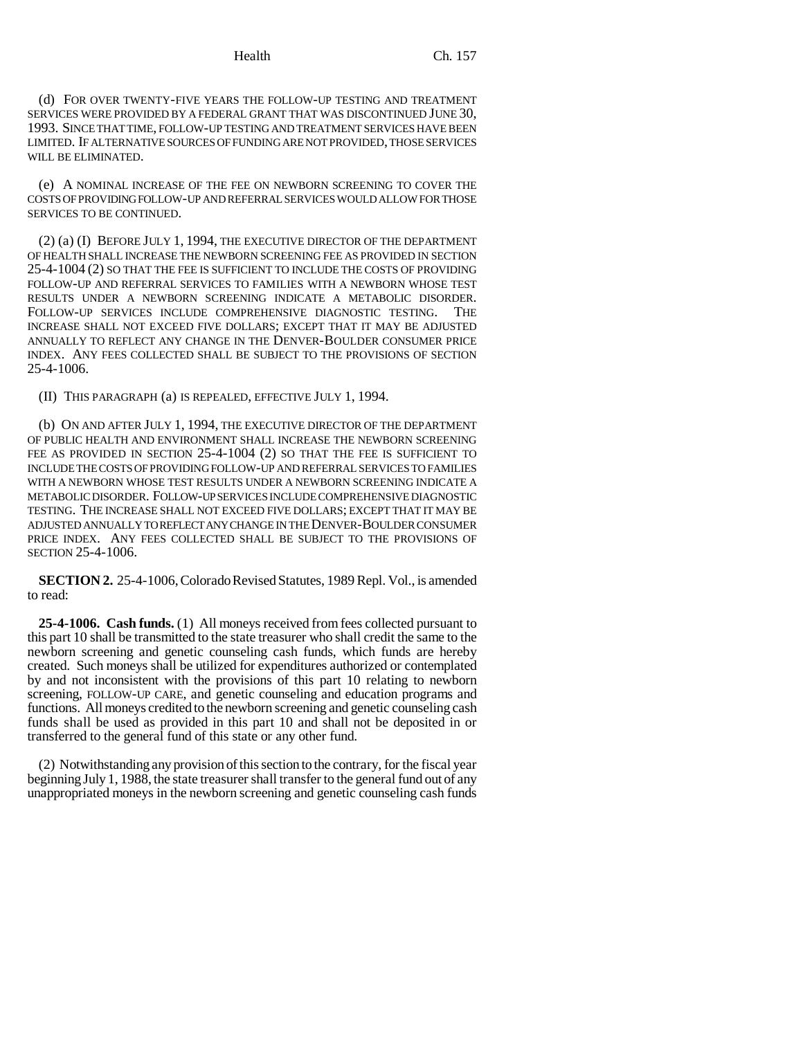(d) FOR OVER TWENTY-FIVE YEARS THE FOLLOW-UP TESTING AND TREATMENT SERVICES WERE PROVIDED BY A FEDERAL GRANT THAT WAS DISCONTINUED JUNE 30, 1993. SINCE THAT TIME, FOLLOW-UP TESTING AND TREATMENT SERVICES HAVE BEEN LIMITED. IF ALTERNATIVE SOURCES OF FUNDING ARE NOT PROVIDED, THOSE SERVICES WILL BE ELIMINATED.

(e) A NOMINAL INCREASE OF THE FEE ON NEWBORN SCREENING TO COVER THE COSTS OF PROVIDING FOLLOW-UP AND REFERRAL SERVICES WOULD ALLOW FOR THOSE SERVICES TO BE CONTINUED.

(2) (a) (I) BEFORE JULY 1, 1994, THE EXECUTIVE DIRECTOR OF THE DEPARTMENT OF HEALTH SHALL INCREASE THE NEWBORN SCREENING FEE AS PROVIDED IN SECTION 25-4-1004 (2) SO THAT THE FEE IS SUFFICIENT TO INCLUDE THE COSTS OF PROVIDING FOLLOW-UP AND REFERRAL SERVICES TO FAMILIES WITH A NEWBORN WHOSE TEST RESULTS UNDER A NEWBORN SCREENING INDICATE A METABOLIC DISORDER. FOLLOW-UP SERVICES INCLUDE COMPREHENSIVE DIAGNOSTIC TESTING. THE INCREASE SHALL NOT EXCEED FIVE DOLLARS; EXCEPT THAT IT MAY BE ADJUSTED ANNUALLY TO REFLECT ANY CHANGE IN THE DENVER-BOULDER CONSUMER PRICE INDEX. ANY FEES COLLECTED SHALL BE SUBJECT TO THE PROVISIONS OF SECTION 25-4-1006.

(II) THIS PARAGRAPH (a) IS REPEALED, EFFECTIVE JULY 1, 1994.

(b) ON AND AFTER JULY 1, 1994, THE EXECUTIVE DIRECTOR OF THE DEPARTMENT OF PUBLIC HEALTH AND ENVIRONMENT SHALL INCREASE THE NEWBORN SCREENING FEE AS PROVIDED IN SECTION 25-4-1004 (2) SO THAT THE FEE IS SUFFICIENT TO INCLUDE THE COSTS OF PROVIDING FOLLOW-UP AND REFERRAL SERVICES TO FAMILIES WITH A NEWBORN WHOSE TEST RESULTS UNDER A NEWBORN SCREENING INDICATE A METABOLIC DISORDER. FOLLOW-UP SERVICES INCLUDE COMPREHENSIVE DIAGNOSTIC TESTING. THE INCREASE SHALL NOT EXCEED FIVE DOLLARS; EXCEPT THAT IT MAY BE ADJUSTED ANNUALLY TO REFLECT ANY CHANGE IN THE DENVER-BOULDER CONSUMER PRICE INDEX. ANY FEES COLLECTED SHALL BE SUBJECT TO THE PROVISIONS OF SECTION 25-4-1006.

**SECTION 2.** 25-4-1006, Colorado Revised Statutes, 1989 Repl. Vol., is amended to read:

**25-4-1006. Cash funds.** (1) All moneys received from fees collected pursuant to this part 10 shall be transmitted to the state treasurer who shall credit the same to the newborn screening and genetic counseling cash funds, which funds are hereby created. Such moneys shall be utilized for expenditures authorized or contemplated by and not inconsistent with the provisions of this part 10 relating to newborn screening, FOLLOW-UP CARE, and genetic counseling and education programs and functions. All moneys credited to the newborn screening and genetic counseling cash funds shall be used as provided in this part 10 and shall not be deposited in or transferred to the general fund of this state or any other fund.

(2) Notwithstanding any provision of this section to the contrary, for the fiscal year beginning July 1, 1988, the state treasurer shall transfer to the general fund out of any unappropriated moneys in the newborn screening and genetic counseling cash funds